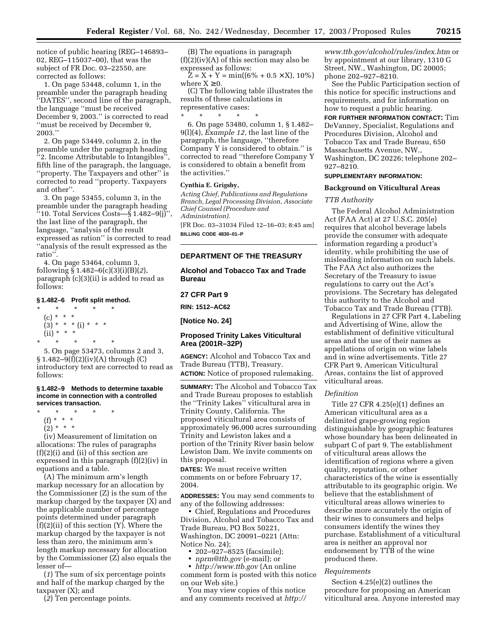notice of public hearing (REG–146893– 02, REG–115037–00), that was the subject of FR Doc. 03–22550, are corrected as follows:

1. On page 53448, column 1, in the preamble under the paragraph heading ''DATES'', second line of the paragraph, the language ''must be received December 9, 2003.'' is corrected to read ''must be received by December 9, 2003.''

2. On page 53449, column 2, in the preamble under the paragraph heading ''2. Income Attributable to Intangibles'', fifth line of the paragraph, the language, ''property. The Taxpayers and other'' is corrected to read ''property. Taxpayers and other''.

3. On page 53455, column 3, in the preamble under the paragraph heading  $``10.$  Total Services Costs— $§$  1.482–9 $(j)$ ", the last line of the paragraph, the language, ''analysis of the result expressed as ration'' is corrected to read ''analysis of the result expressed as the ratio''.

4. On page 53464, column 3, following § 1.482–6(c)(3)(i)(B)(*2*), paragraph (c)(3)(ii) is added to read as follows:

### **§ 1.482–6 Profit split method.**

\* \* \* \* \* (c) \* \* \*  $(3) * * * (i) * * * *$  $(ii) * * * *$ \* \* \* \* \*

5. On page 53473, columns 2 and 3,  $\S 1.482 - 9(f)(2)(iv)(A)$  through (C) introductory text are corrected to read as follows:

#### **§ 1.482–9 Methods to determine taxable income in connection with a controlled services transaction.**

\* \* \* \* \*

- (f) \* \* \*
- $(2) * * * *$

(iv) Measurement of limitation on allocations: The rules of paragraphs (f)(2)(i) and (ii) of this section are expressed in this paragraph (f)(2)(iv) in equations and a table.

(A) The minimum arm's length markup necessary for an allocation by the Commissioner (Z) is the sum of the markup charged by the taxpayer (X) and the applicable number of percentage points determined under paragraph (f)(2)(ii) of this section (Y). Where the markup charged by the taxpayer is not less than zero, the minimum arm's length markup necessary for allocation by the Commissioner (Z) also equals the lesser of—

(*1*) The sum of six percentage points and half of the markup charged by the taxpayer (X); and

(*2*) Ten percentage points.

(B) The equations in paragraph  $(f)(2)(iv)(A)$  of this section may also be expressed as follows:

 $\bar{Z} = X + Y = \min((6\% + 0.5 \times X), 10\%)$ where  $X \geq 0$ .

(C) The following table illustrates the results of these calculations in representative cases:

\* \* \* \* \* 6. On page 53480, column 1, § 1.482– 9(l)(4), *Example 12*, the last line of the paragraph, the language, ''therefore Company Y is considered to obtain.'' is corrected to read ''therefore Company Y is considered to obtain a benefit from the activities.''

#### **Cynthia E. Grigsby,**

*Acting Chief, Publications and Regulations Branch, Legal Processing Division, Associate Chief Counsel (Procedure and Administration).* [FR Doc. 03–31034 Filed 12–16–03; 8:45 am] **BILLING CODE 4830–01–P**

# **DEPARTMENT OF THE TREASURY**

**Alcohol and Tobacco Tax and Trade Bureau** 

# **27 CFR Part 9**

**RIN: 1512–AC62** 

**[Notice No. 24]** 

# **Proposed Trinity Lakes Viticultural Area (2001R–32P)**

**AGENCY:** Alcohol and Tobacco Tax and Trade Bureau (TTB), Treasury. **ACTION:** Notice of proposed rulemaking.

**SUMMARY:** The Alcohol and Tobacco Tax and Trade Bureau proposes to establish the ''Trinity Lakes'' viticultural area in Trinity County, California. The proposed viticultural area consists of approximately 96,000 acres surrounding Trinity and Lewiston lakes and a portion of the Trinity River basin below Lewiston Dam. We invite comments on this proposal.

**DATES:** We must receive written comments on or before February 17, 2004.

**ADDRESSES:** You may send comments to any of the following addresses:

• Chief, Regulations and Procedures Division, Alcohol and Tobacco Tax and Trade Bureau, PO Box 50221, Washington, DC 20091–0221 (Attn: Notice No. 24);

• 202–927–8525 (facsimile);

• *[nprm@ttb.gov](mailto:9-anm-nprmcomment@faa.gov)* (e-mail); or • *<http://www.ttb.gov>* (An online

comment form is posted with this notice on our Web site.)

You may view copies of this notice [and any comments received at](http://www.ttb.gov/alcohol/rules/index.htm) *http://*

*[www.ttb.gov/alcohol/rules/index.htm](http://www.ttb.gov/alcohol/rules/index.htm)* or by appointment at our library, 1310 G Street, NW., Washington, DC 20005; phone 202–927–8210.

See the Public Participation section of this notice for specific instructions and requirements, and for information on how to request a public hearing.

**FOR FURTHER INFORMATION CONTACT:** Tim DeVanney, Specialist, Regulations and Procedures Division, Alcohol and Tobacco Tax and Trade Bureau, 650 Massachusetts Avenue, NW., Washington, DC 20226; telephone 202– 927–8210.

# **SUPPLEMENTARY INFORMATION:**

### **Background on Viticultural Areas**

# *TTB Authority*

The Federal Alcohol Administration Act (FAA Act) at 27 U.S.C. 205(e) requires that alcohol beverage labels provide the consumer with adequate information regarding a product's identity, while prohibiting the use of misleading information on such labels. The FAA Act also authorizes the Secretary of the Treasury to issue regulations to carry out the Act's provisions. The Secretary has delegated this authority to the Alcohol and Tobacco Tax and Trade Bureau (TTB).

Regulations in 27 CFR Part 4, Labeling and Advertising of Wine, allow the establishment of definitive viticultural areas and the use of their names as appellations of origin on wine labels and in wine advertisements. Title 27 CFR Part 9, American Viticultural Areas, contains the list of approved viticultural areas.

### *Definition*

Title 27 CFR 4.25(e)(1) defines an American viticultural area as a delimited grape-growing region distinguishable by geographic features whose boundary has been delineated in subpart C of part 9. The establishment of viticultural areas allows the identification of regions where a given quality, reputation, or other characteristics of the wine is essentially attributable to its geographic origin. We believe that the establishment of viticultural areas allows wineries to describe more accurately the origin of their wines to consumers and helps consumers identify the wines they purchase. Establishment of a viticultural area is neither an approval nor endorsement by TTB of the wine produced there.

### *Requirements*

Section 4.25(e)(2) outlines the procedure for proposing an American viticultural area. Anyone interested may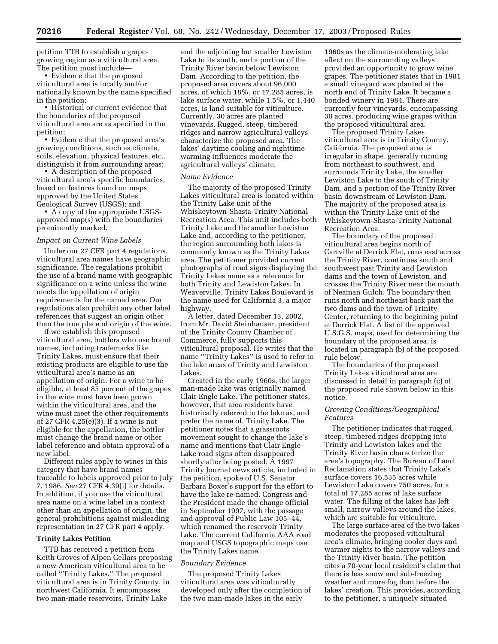petition TTB to establish a grapegrowing region as a viticultural area. The petition must include—

• Evidence that the proposed viticultural area is locally and/or nationally known by the name specified in the petition;

• Historical or current evidence that the boundaries of the proposed viticultural area are as specified in the petition;

• Evidence that the proposed area's growing conditions, such as climate, soils, elevation, physical features, etc., distinguish it from surrounding areas;

• A description of the proposed viticultural area's specific boundaries, based on features found on maps approved by the United States Geological Survey (USGS); and

• A copy of the appropriate USGSapproved map(s) with the boundaries prominently marked.

### *Impact on Current Wine Labels*

Under our 27 CFR part 4 regulations, viticultural area names have geographic significance. The regulations prohibit the use of a brand name with geographic significance on a wine unless the wine meets the appellation of origin requirements for the named area. Our regulations also prohibit any other label references that suggest an origin other than the true place of origin of the wine.

If we establish this proposed viticultural area, bottlers who use brand names, including trademarks like Trinity Lakes, must ensure that their existing products are eligible to use the viticultural area's name as an appellation of origin. For a wine to be eligible, at least 85 percent of the grapes in the wine must have been grown within the viticultural area, and the wine must meet the other requirements of 27 CFR 4.25(e)(3). If a wine is not eligible for the appellation, the bottler must change the brand name or other label reference and obtain approval of a new label.

Different rules apply to wines in this category that have brand names traceable to labels approved prior to July 7, 1986. *See* 27 CFR 4.39(i) for details. In addition, if you use the viticultural area name on a wine label in a context other than an appellation of origin, the general prohibitions against misleading representation in 27 CFR part 4 apply.

#### **Trinity Lakes Petition**

TTB has received a petition from Keith Groves of Alpen Cellars proposing a new American viticultural area to be called ''Trinity Lakes.'' The proposed viticultural area is in Trinity County, in northwest California. It encompasses two man-made reservoirs, Trinity Lake

and the adjoining but smaller Lewiston Lake to its south, and a portion of the Trinity River basin below Lewiston Dam. According to the petition, the proposed area covers about 96,000 acres, of which 18%, or 17,285 acres, is lake surface water, while 1.5%, or 1,440 acres, is land suitable for viticulture. Currently, 30 acres are planted vineyards. Rugged, steep, timbered ridges and narrow agricultural valleys characterize the proposed area. The lakes' daytime cooling and nighttime warming influences moderate the agricultural valleys' climate.

#### *Name Evidence*

The majority of the proposed Trinity Lakes viticultural area is located within the Trinity Lake unit of the Whiskeytown-Shasta-Trinity National Recreation Area. This unit includes both Trinity Lake and the smaller Lewiston Lake and, according to the petitioner, the region surrounding both lakes is commonly known as the Trinity Lakes area. The petitioner provided current photographs of road signs displaying the Trinity Lakes name as a reference for both Trinity and Lewiston Lakes. In Weaverville, Trinity Lakes Boulevard is the name used for California 3, a major highway.

A letter, dated December 13, 2002, from Mr. David Steinhauser, president of the Trinity County Chamber of Commerce, fully supports this viticultural proposal. He writes that the name ''Trinity Lakes'' is used to refer to the lake areas of Trinity and Lewiston Lakes.

Created in the early 1960s, the larger man-made lake was originally named Clair Engle Lake. The petitioner states, however, that area residents have historically referred to the lake as, and prefer the name of, Trinity Lake. The petitioner notes that a grassroots movement sought to change the lake's name and mentions that Clair Engle Lake road signs often disappeared shortly after being posted. A 1997 Trinity Journal news article, included in the petition, spoke of U.S. Senator Barbara Boxer's support for the effort to have the lake re-named. Congress and the President made the change official in September 1997, with the passage and approval of Public Law 105–44, which renamed the reservoir Trinity Lake. The current California AAA road map and USGS topographic maps use the Trinity Lakes name.

#### *Boundary Evidence*

The proposed Trinity Lakes viticultural area was viticulturally developed only after the completion of the two man-made lakes in the early

1960s as the climate-moderating lake effect on the surrounding valleys provided an opportunity to grow wine grapes. The petitioner states that in 1981 a small vineyard was planted at the north end of Trinity Lake. It became a bonded winery in 1984. There are currently four vineyards, encompassing 30 acres, producing wine grapes within the proposed viticultural area.

The proposed Trinity Lakes viticultural area is in Trinity County, California. The proposed area is irregular in shape, generally running from northeast to southwest, and surrounds Trinity Lake, the smaller Lewiston Lake to the south of Trinity Dam, and a portion of the Trinity River basin downstream of Lewiston Dam. The majority of the proposed area is within the Trinity Lake unit of the Whiskeytown-Shasta-Trinity National Recreation Area.

The boundary of the proposed viticultural area begins north of Carrville at Derrick Flat, runs east across the Trinity River, continues south and southwest past Trinity and Lewiston dams and the town of Lewiston, and crosses the Trinity River near the mouth of Neaman Gulch. The boundary then runs north and northeast back past the two dams and the town of Trinity Center, returning to the beginning point at Derrick Flat. A list of the approved U.S.G.S. maps, used for determining the boundary of the proposed area, is located in paragraph (b) of the proposed rule below.

The boundaries of the proposed Trinity Lakes viticultural area are discussed in detail in paragraph (c) of the proposed rule shown below in this notice.

## *Growing Conditions/Geographical Features*

The petitioner indicates that rugged, steep, timbered ridges dropping into Trinity and Lewiston lakes and the Trinity River basin characterize the area's topography. The Bureau of Land Reclamation states that Trinity Lake's surface covers 16,535 acres while Lewiston Lake covers 750 acres, for a total of 17,285 acres of lake surface water. The filling of the lakes has left small, narrow valleys around the lakes, which are suitable for viticulture.

The large surface area of the two lakes moderates the proposed viticultural area's climate, bringing cooler days and warmer nights to the narrow valleys and the Trinity River basin. The petition cites a 70-year local resident's claim that there is less snow and sub-freezing weather and more fog than before the lakes' creation. This provides, according to the petitioner, a uniquely situated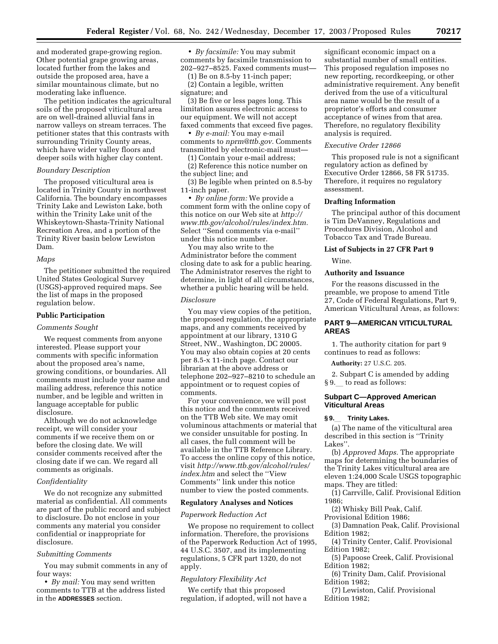and moderated grape-growing region. Other potential grape growing areas, located further from the lakes and outside the proposed area, have a similar mountainous climate, but no moderating lake influence.

The petition indicates the agricultural soils of the proposed viticultural area are on well-drained alluvial fans in narrow valleys on stream terraces. The petitioner states that this contrasts with surrounding Trinity County areas, which have wider valley floors and deeper soils with higher clay content.

# *Boundary Description*

The proposed viticultural area is located in Trinity County in northwest California. The boundary encompasses Trinity Lake and Lewiston Lake, both within the Trinity Lake unit of the Whiskeytown-Shasta-Trinity National Recreation Area, and a portion of the Trinity River basin below Lewiston Dam.

#### *Maps*

The petitioner submitted the required United States Geological Survey (USGS)-approved required maps. See the list of maps in the proposed regulation below.

### **Public Participation**

#### *Comments Sought*

We request comments from anyone interested. Please support your comments with specific information about the proposed area's name, growing conditions, or boundaries. All comments must include your name and mailing address, reference this notice number, and be legible and written in language acceptable for public disclosure.

Although we do not acknowledge receipt, we will consider your comments if we receive them on or before the closing date. We will consider comments received after the closing date if we can. We regard all comments as originals.

### *Confidentiality*

We do not recognize any submitted material as confidential. All comments are part of the public record and subject to disclosure. Do not enclose in your comments any material you consider confidential or inappropriate for disclosure.

### *Submitting Comments*

You may submit comments in any of four ways:

• *By mail:* You may send written comments to TTB at the address listed in the **ADDRESSES** section.

• *By facsimile:* You may submit comments by facsimile transmission to 202–927–8525. Faxed comments must—

(1) Be on 8.5-by 11-inch paper; (2) Contain a legible, written signature; and

(3) Be five or less pages long. This limitation assures electronic access to our equipment. We will not accept faxed comments that exceed five pages.

• *By e-mail:* You may e-mail comments to *[nprm@ttb.gov.](mailto:nprm@ttb.gov)* Comments transmitted by electronic-mail must—

(1) Contain your e-mail address; (2) Reference this notice number on the subject line; and

(3) Be legible when printed on 8.5-by 11-inch paper.

• *By online form:* We provide a comment form with the online copy of this notice on our Web site at *http:// [www.ttb.gov/alcohol/rules/index.htm.](http://www.ttb.gov/alcohol/rules/index.htm)* Select ''Send comments via e-mail'' under this notice number.

You may also write to the Administrator before the comment closing date to ask for a public hearing. The Administrator reserves the right to determine, in light of all circumstances, whether a public hearing will be held.

#### *Disclosure*

You may view copies of the petition, the proposed regulation, the appropriate maps, and any comments received by appointment at our library, 1310 G Street, NW., Washington, DC 20005. You may also obtain copies at 20 cents per 8.5-x 11-inch page. Contact our librarian at the above address or telephone 202–927–8210 to schedule an appointment or to request copies of comments.

For your convenience, we will post this notice and the comments received on the TTB Web site. We may omit voluminous attachments or material that we consider unsuitable for posting. In all cases, the full comment will be available in the TTB Reference Library. To access the online copy of this notice, visit *[http://www.ttb.gov/alcohol/rules/](http://www.ttb.gov/alcohol/rules/index.htm) index.htm* and select the ''View Comments'' link under this notice number to view the posted comments.

# **Regulatory Analyses and Notices**

### *Paperwork Reduction Act*

We propose no requirement to collect information. Therefore, the provisions of the Paperwork Reduction Act of 1995, 44 U.S.C. 3507, and its implementing regulations, 5 CFR part 1320, do not apply.

#### *Regulatory Flexibility Act*

We certify that this proposed regulation, if adopted, will not have a

significant economic impact on a substantial number of small entities. This proposed regulation imposes no new reporting, recordkeeping, or other administrative requirement. Any benefit derived from the use of a viticultural area name would be the result of a proprietor's efforts and consumer acceptance of wines from that area. Therefore, no regulatory flexibility analysis is required.

#### *Executive Order 12866*

This proposed rule is not a significant regulatory action as defined by Executive Order 12866, 58 FR 51735. Therefore, it requires no regulatory assessment.

### **Drafting Information**

The principal author of this document is Tim DeVanney, Regulations and Procedures Division, Alcohol and Tobacco Tax and Trade Bureau.

# **List of Subjects in 27 CFR Part 9**

Wine.

## **Authority and Issuance**

For the reasons discussed in the preamble, we propose to amend Title 27, Code of Federal Regulations, Part 9, American Viticultural Areas, as follows:

# **PART 9—AMERICAN VITICULTURAL AREAS**

1. The authority citation for part 9 continues to read as follows:

**Authority:** 27 U.S.C. 205.

2. Subpart C is amended by adding § 9. to read as follows:

# **Subpart C—Approved American Viticultural Areas**

#### **§ 9.**l **Trinity Lakes.**

(a) The name of the viticultural area described in this section is ''Trinity Lakes''.

(b) *Approved Maps.* The appropriate maps for determining the boundaries of the Trinity Lakes viticultural area are eleven 1:24,000 Scale USGS topographic maps. They are titled:

(1) Carrville, Calif. Provisional Edition 1986;

(2) Whisky Bill Peak, Calif.

Provisional Edition 1986; (3) Damnation Peak, Calif. Provisional Edition 1982;

(4) Trinity Center, Calif. Provisional Edition 1982;

(5) Papoose Creek, Calif. Provisional Edition 1982;

(6) Trinity Dam, Calif. Provisional Edition 1982;

(7) Lewiston, Calif. Provisional Edition 1982;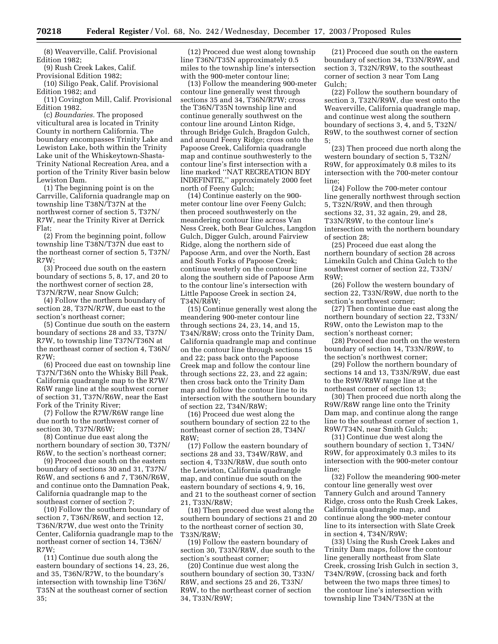(8) Weaverville, Calif. Provisional Edition 1982;

(9) Rush Creek Lakes, Calif.

Provisional Edition 1982; (10) Siligo Peak, Calif. Provisional Edition 1982; and

(11) Covington Mill, Calif. Provisional Edition 1982.

(c) *Boundaries.* The proposed viticultural area is located in Trinity County in northern California. The boundary encompasses Trinity Lake and Lewiston Lake, both within the Trinity Lake unit of the Whiskeytown-Shasta-Trinity National Recreation Area, and a portion of the Trinity River basin below Lewiston Dam.

(1) The beginning point is on the Carrville, California quadrangle map on township line T38N/T37N at the northwest corner of section 5, T37N/ R7W, near the Trinity River at Derrick Flat;

(2) From the beginning point, follow township line T38N/T37N due east to the northeast corner of section 5, T37N/  $R7W$ 

(3) Proceed due south on the eastern boundary of sections 5, 8, 17, and 20 to the northwest corner of section 28, T37N/R7W, near Snow Gulch;

(4) Follow the northern boundary of section 28, T37N/R7W, due east to the section's northeast corner;

(5) Continue due south on the eastern boundary of sections 28 and 33, T37N/ R7W, to township line T37N/T36N at the northeast corner of section 4, T36N/  $R7W$ 

(6) Proceed due east on township line T37N/T36N onto the Whisky Bill Peak, California quadrangle map to the R7W/ R6W range line at the southwest corner of section 31, T37N/R6W, near the East Fork of the Trinity River;

(7) Follow the R7W/R6W range line due north to the northwest corner of section 30, T37N/R6W;

(8) Continue due east along the northern boundary of section 30, T37N/ R6W, to the section's northeast corner;

(9) Proceed due south on the eastern boundary of sections 30 and 31, T37N/ R6W, and sections 6 and 7, T36N/R6W, and continue onto the Damnation Peak, California quadrangle map to the southeast corner of section 7;

(10) Follow the southern boundary of section 7, T36N/R6W, and section 12, T36N/R7W, due west onto the Trinity Center, California quadrangle map to the northeast corner of section 14, T36N/ R7W;

(11) Continue due south along the eastern boundary of sections 14, 23, 26, and 35, T36N/R7W, to the boundary's intersection with township line T36N/ T35N at the southeast corner of section 35;

(12) Proceed due west along township line T36N/T35N approximately 0.5 miles to the township line's intersection with the 900-meter contour line;

(13) Follow the meandering 900-meter contour line generally west through sections 35 and 34, T36N/R7W; cross the T36N/T35N township line and continue generally southwest on the contour line around Linton Ridge, through Bridge Gulch, Bragdon Gulch, and around Feeny Ridge; cross onto the Papoose Creek, California quadrangle map and continue southwesterly to the contour line's first intersection with a line marked ''NAT RECREATION BDY INDEFINITE,'' approximately 2000 feet north of Feeny Gulch;

(14) Continue easterly on the 900 meter contour line over Feeny Gulch; then proceed southwesterly on the meandering contour line across Van Ness Creek, both Bear Gulches, Langdon Gulch, Digger Gulch, around Fairview Ridge, along the northern side of Papoose Arm, and over the North, East and South Forks of Papoose Creek; continue westerly on the contour line along the southern side of Papoose Arm to the contour line's intersection with Little Papoose Creek in section 24, T34N/R8W;

(15) Continue generally west along the meandering 900-meter contour line through sections 24, 23, 14, and 15, T34N/R8W; cross onto the Trinity Dam, California quadrangle map and continue on the contour line through sections 15 and 22; pass back onto the Papoose Creek map and follow the contour line through sections 22, 23, and 22 again; then cross back onto the Trinity Dam map and follow the contour line to its intersection with the southern boundary of section 22, T34N/R8W;

(16) Proceed due west along the southern boundary of section 22 to the northeast corner of section 28, T34N/ R8W;

(17) Follow the eastern boundary of sections 28 and 33, T34W/R8W, and section 4, T33N/R8W, due south onto the Lewiston, California quadrangle map, and continue due south on the eastern boundary of sections 4, 9, 16, and 21 to the southeast corner of section 21, T33N/R8W;

(18) Then proceed due west along the southern boundary of sections 21 and 20 to the northeast corner of section 30, T33N/R8W;

(19) Follow the eastern boundary of section 30, T33N/R8W, due south to the section's southeast corner;

(20) Continue due west along the southern boundary of section 30, T33N/ R8W, and sections 25 and 26, T33N/ R9W, to the northeast corner of section 34, T33N/R9W;

(21) Proceed due south on the eastern boundary of section 34, T33N/R9W, and section 3, T32N/R9W, to the southeast corner of section 3 near Tom Lang Gulch;

(22) Follow the southern boundary of section 3, T32N/R9W, due west onto the Weaverville, California quadrangle map, and continue west along the southern boundary of sections 3, 4, and 5, T32N/ R9W, to the southwest corner of section 5;

(23) Then proceed due north along the western boundary of section 5, T32N/ R9W, for approximately 0.8 miles to its intersection with the 700-meter contour line;

(24) Follow the 700-meter contour line generally northwest through section 5, T32N/R9W, and then through sections 32, 31, 32 again, 29, and 28, T33N/R9W, to the contour line's intersection with the northern boundary of section 28;

(25) Proceed due east along the northern boundary of section 28 across Limekiln Gulch and China Gulch to the southwest corner of section 22, T33N/ R9W;

(26) Follow the western boundary of section 22, T33N/R9W, due north to the section's northwest corner;

(27) Then continue due east along the northern boundary of section 22, T33N/ R9W, onto the Lewiston map to the section's northeast corner;

(28) Proceed due north on the western boundary of section 14, T33N/R9W, to the section's northwest corner;

(29) Follow the northern boundary of sections 14 and 13, T33N/R9W, due east to the R9W/R8W range line at the northeast corner of section 13;

(30) Then proceed due north along the R9W/R8W range line onto the Trinity Dam map, and continue along the range line to the southeast corner of section 1, R9W/T34N, near Smith Gulch;

(31) Continue due west along the southern boundary of section 1, T34N/ R9W, for approximately 0.3 miles to its intersection with the 900-meter contour line;

(32) Follow the meandering 900-meter contour line generally west over Tannery Gulch and around Tannery Ridge, cross onto the Rush Creek Lakes, California quadrangle map, and continue along the 900-meter contour line to its intersection with Slate Creek in section 4, T34N/R9W;

(33) Using the Rush Creek Lakes and Trinity Dam maps, follow the contour line generally northeast from Slate Creek, crossing Irish Gulch in section 3, T34N/R9W, (crossing back and forth between the two maps three times) to the contour line's intersection with township line T34N/T35N at the